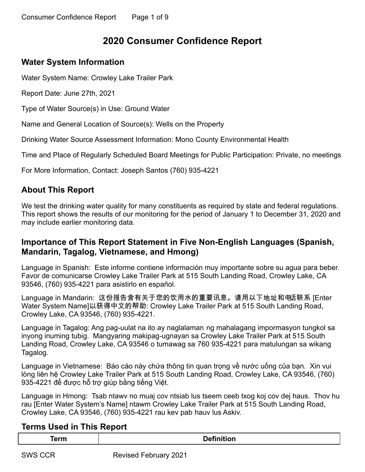# **2020 Consumer Confidence Report**

## **Water System Information**

Water System Name: Crowley Lake Trailer Park

Report Date: June 27th, 2021

Type of Water Source(s) in Use: Ground Water

Name and General Location of Source(s): Wells on the Property

Drinking Water Source Assessment Information: Mono County Environmental Health

Time and Place of Regularly Scheduled Board Meetings for Public Participation: Private, no meetings

For More Information, Contact: Joseph Santos (760) 935-4221

## **About This Report**

We test the drinking water quality for many constituents as required by state and federal regulations. This report shows the results of our monitoring for the period of January 1 to December 31, 2020 and may include earlier monitoring data.

## **Importance of This Report Statement in Five Non-English Languages (Spanish, Mandarin, Tagalog, Vietnamese, and Hmong)**

Language in Spanish: Este informe contiene información muy importante sobre su agua para beber. Favor de comunicarse Crowley Lake Trailer Park at 515 South Landing Road, Crowley Lake, CA 93546, (760) 935-4221 para asistirlo en español.

Language in Mandarin: 这份报告含有关于您的饮用水的重要讯息。请用以下地址和电话联系 [Enter Water System Name]以获得中文的帮助: Crowley Lake Trailer Park at 515 South Landing Road, Crowley Lake, CA 93546, (760) 935-4221.

Language in Tagalog: Ang pag-uulat na ito ay naglalaman ng mahalagang impormasyon tungkol sa inyong inuming tubig. Mangyaring makipag-ugnayan sa Crowley Lake Trailer Park at 515 South Landing Road, Crowley Lake, CA 93546 o tumawag sa 760 935-4221 para matulungan sa wikang Tagalog.

Language in Vietnamese: Báo cáo này chứa thông tin quan trọng về nước uống của bạn. Xin vui lòng liên hệ Crowley Lake Trailer Park at 515 South Landing Road, Crowley Lake, CA 93546, (760) 935-4221 để được hỗ trợ giúp bằng tiếng Việt.

Language in Hmong: Tsab ntawv no muaj cov ntsiab lus tseem ceeb txog koj cov dej haus. Thov hu rau [Enter Water System's Name] ntawm Crowley Lake Trailer Park at 515 South Landing Road, Crowley Lake, CA 93546, (760) 935-4221 rau kev pab hauv lus Askiv.

### **Terms Used in This Report**

| --- | . . |
|-----|-----|
|     |     |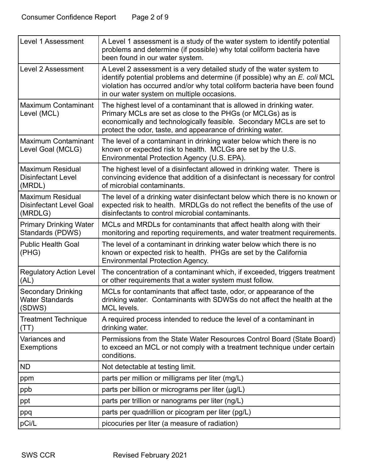| <b>Level 1 Assessment</b>                                            | A Level 1 assessment is a study of the water system to identify potential<br>problems and determine (if possible) why total coliform bacteria have<br>been found in our water system.                                                                                         |
|----------------------------------------------------------------------|-------------------------------------------------------------------------------------------------------------------------------------------------------------------------------------------------------------------------------------------------------------------------------|
| Level 2 Assessment                                                   | A Level 2 assessment is a very detailed study of the water system to<br>identify potential problems and determine (if possible) why an E. coli MCL<br>violation has occurred and/or why total coliform bacteria have been found<br>in our water system on multiple occasions. |
| Maximum Contaminant<br>Level (MCL)                                   | The highest level of a contaminant that is allowed in drinking water.<br>Primary MCLs are set as close to the PHGs (or MCLGs) as is<br>economically and technologically feasible. Secondary MCLs are set to<br>protect the odor, taste, and appearance of drinking water.     |
| Maximum Contaminant<br>Level Goal (MCLG)                             | The level of a contaminant in drinking water below which there is no<br>known or expected risk to health. MCLGs are set by the U.S.<br>Environmental Protection Agency (U.S. EPA).                                                                                            |
| Maximum Residual<br><b>Disinfectant Level</b><br>(MRDL)              | The highest level of a disinfectant allowed in drinking water. There is<br>convincing evidence that addition of a disinfectant is necessary for control<br>of microbial contaminants.                                                                                         |
| <b>Maximum Residual</b><br><b>Disinfectant Level Goal</b><br>(MRDLG) | The level of a drinking water disinfectant below which there is no known or<br>expected risk to health. MRDLGs do not reflect the benefits of the use of<br>disinfectants to control microbial contaminants.                                                                  |
| <b>Primary Drinking Water</b><br>Standards (PDWS)                    | MCLs and MRDLs for contaminants that affect health along with their<br>monitoring and reporting requirements, and water treatment requirements.                                                                                                                               |
| <b>Public Health Goal</b><br>(PHG)                                   | The level of a contaminant in drinking water below which there is no<br>known or expected risk to health. PHGs are set by the California<br><b>Environmental Protection Agency.</b>                                                                                           |
| <b>Regulatory Action Level</b><br>(AL)                               | The concentration of a contaminant which, if exceeded, triggers treatment<br>or other requirements that a water system must follow.                                                                                                                                           |
| <b>Secondary Drinking</b><br><b>Water Standards</b><br>(SDWS)        | MCLs for contaminants that affect taste, odor, or appearance of the<br>drinking water. Contaminants with SDWSs do not affect the health at the<br>MCL levels.                                                                                                                 |
| <b>Treatment Technique</b><br>(TT)                                   | A required process intended to reduce the level of a contaminant in<br>drinking water.                                                                                                                                                                                        |
| Variances and<br>Exemptions                                          | Permissions from the State Water Resources Control Board (State Board)<br>to exceed an MCL or not comply with a treatment technique under certain<br>conditions.                                                                                                              |
| <b>ND</b>                                                            | Not detectable at testing limit.                                                                                                                                                                                                                                              |
| ppm                                                                  | parts per million or milligrams per liter (mg/L)                                                                                                                                                                                                                              |
| ppb                                                                  | parts per billion or micrograms per liter (µg/L)                                                                                                                                                                                                                              |
| ppt                                                                  | parts per trillion or nanograms per liter (ng/L)                                                                                                                                                                                                                              |
| ppq                                                                  | parts per quadrillion or picogram per liter (pg/L)                                                                                                                                                                                                                            |
| pCi/L                                                                | picocuries per liter (a measure of radiation)                                                                                                                                                                                                                                 |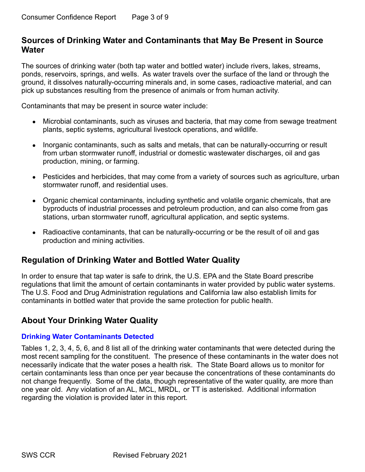### **Sources of Drinking Water and Contaminants that May Be Present in Source Water**

The sources of drinking water (both tap water and bottled water) include rivers, lakes, streams, ponds, reservoirs, springs, and wells. As water travels over the surface of the land or through the ground, it dissolves naturally-occurring minerals and, in some cases, radioactive material, and can pick up substances resulting from the presence of animals or from human activity.

Contaminants that may be present in source water include:

- Microbial contaminants, such as viruses and bacteria, that may come from sewage treatment plants, septic systems, agricultural livestock operations, and wildlife.
- Inorganic contaminants, such as salts and metals, that can be naturally-occurring or result from urban stormwater runoff, industrial or domestic wastewater discharges, oil and gas production, mining, or farming.
- Pesticides and herbicides, that may come from a variety of sources such as agriculture, urban stormwater runoff, and residential uses.
- Organic chemical contaminants, including synthetic and volatile organic chemicals, that are byproducts of industrial processes and petroleum production, and can also come from gas stations, urban stormwater runoff, agricultural application, and septic systems.
- Radioactive contaminants, that can be naturally-occurring or be the result of oil and gas production and mining activities.

## **Regulation of Drinking Water and Bottled Water Quality**

In order to ensure that tap water is safe to drink, the U.S. EPA and the State Board prescribe regulations that limit the amount of certain contaminants in water provided by public water systems. The U.S. Food and Drug Administration regulations and California law also establish limits for contaminants in bottled water that provide the same protection for public health.

## **About Your Drinking Water Quality**

#### **Drinking Water Contaminants Detected**

Tables 1, 2, 3, 4, 5, 6, and 8 list all of the drinking water contaminants that were detected during the most recent sampling for the constituent. The presence of these contaminants in the water does not necessarily indicate that the water poses a health risk. The State Board allows us to monitor for certain contaminants less than once per year because the concentrations of these contaminants do not change frequently. Some of the data, though representative of the water quality, are more than one year old. Any violation of an AL, MCL, MRDL, or TT is asterisked. Additional information regarding the violation is provided later in this report.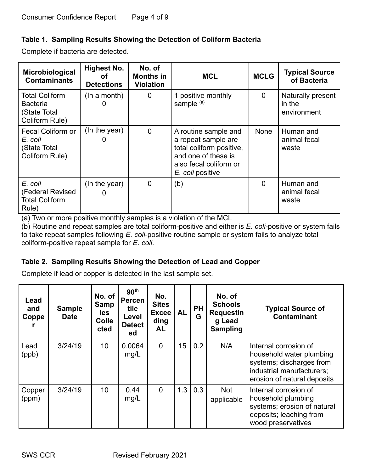### **Table 1. Sampling Results Showing the Detection of Coliform Bacteria**

Complete if bacteria are detected.

| Microbiological<br><b>Contaminants</b>                                     | Highest No.<br>οf<br><b>Detections</b> | No. of<br>Months in<br><b>Violation</b> | <b>MCL</b>                                                                                                                                   | <b>MCLG</b>  | <b>Typical Source</b><br>of Bacteria       |
|----------------------------------------------------------------------------|----------------------------------------|-----------------------------------------|----------------------------------------------------------------------------------------------------------------------------------------------|--------------|--------------------------------------------|
| <b>Total Coliform</b><br><b>Bacteria</b><br>(State Total<br>Coliform Rule) | (In a month)                           | $\mathbf 0$                             | 1 positive monthly<br>sample <sup>(a)</sup>                                                                                                  | $\mathbf{0}$ | Naturally present<br>in the<br>environment |
| Fecal Coliform or<br>E. coli<br>(State Total<br>Coliform Rule)             | (In the year)                          | $\mathbf 0$                             | A routine sample and<br>a repeat sample are<br>total coliform positive,<br>and one of these is<br>also fecal coliform or<br>E. coli positive | None         | Human and<br>animal fecal<br>waste         |
| E. coli<br>(Federal Revised<br><b>Total Coliform</b><br>Rule)              | (In the year)<br>O                     | $\overline{0}$                          | (b)                                                                                                                                          | $\Omega$     | Human and<br>animal fecal<br>waste         |

(a) Two or more positive monthly samples is a violation of the MCL

(b) Routine and repeat samples are total coliform-positive and either is *E. coli*-positive or system fails to take repeat samples following *E. coli*-positive routine sample or system fails to analyze total coliform-positive repeat sample for *E. coli*.

### **Table 2. Sampling Results Showing the Detection of Lead and Copper**

Complete if lead or copper is detected in the last sample set.

| Lead<br>and<br>Coppe | <b>Sample</b><br><b>Date</b> | No. of<br>Samp<br>les.<br><b>Colle</b><br>cted | 90 <sup>th</sup><br><b>Percen</b><br>tile<br>Level<br><b>Detect</b><br>ed | No.<br><b>Sites</b><br><b>Excee</b><br>ding<br><b>AL</b> | <b>AL</b> | <b>PH</b><br>G | No. of<br><b>Schools</b><br><b>Requestin</b><br>g Lead<br><b>Sampling</b> | <b>Typical Source of</b><br><b>Contaminant</b>                                                                                            |
|----------------------|------------------------------|------------------------------------------------|---------------------------------------------------------------------------|----------------------------------------------------------|-----------|----------------|---------------------------------------------------------------------------|-------------------------------------------------------------------------------------------------------------------------------------------|
| Lead<br>(ppb)        | 3/24/19                      | 10 <sup>°</sup>                                | 0.0064<br>mg/L                                                            | $\Omega$                                                 | 15        | 0.2            | N/A                                                                       | Internal corrosion of<br>household water plumbing<br>systems; discharges from<br>industrial manufacturers;<br>erosion of natural deposits |
| Copper<br>(ppm)      | 3/24/19                      | 10                                             | 0.44<br>mg/L                                                              | $\Omega$                                                 | 1.3       | 0.3            | <b>Not</b><br>applicable                                                  | Internal corrosion of<br>household plumbing<br>systems; erosion of natural<br>deposits; leaching from<br>wood preservatives               |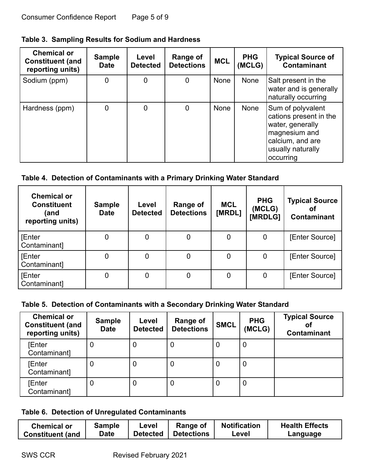|  |  |  | Table 3. Sampling Results for Sodium and Hardness |
|--|--|--|---------------------------------------------------|
|--|--|--|---------------------------------------------------|

| <b>Chemical or</b><br><b>Constituent (and</b><br>reporting units) | <b>Sample</b><br><b>Date</b> | Level<br><b>Detected</b> | Range of<br><b>Detections</b> | <b>MCL</b> | <b>PHG</b><br>(MCLG) | <b>Typical Source of</b><br><b>Contaminant</b>                                                                                         |
|-------------------------------------------------------------------|------------------------------|--------------------------|-------------------------------|------------|----------------------|----------------------------------------------------------------------------------------------------------------------------------------|
| Sodium (ppm)                                                      | 0                            | 0                        | 0                             | None       | None                 | Salt present in the<br>water and is generally<br>naturally occurring                                                                   |
| Hardness (ppm)                                                    | 0                            | 0                        | 0                             | None       | None                 | Sum of polyvalent<br>cations present in the<br>water, generally<br>magnesium and<br>calcium, and are<br>usually naturally<br>occurring |

## **Table 4. Detection of Contaminants with a Primary Drinking Water Standard**

| <b>Chemical or</b><br><b>Constituent</b><br>(and<br>reporting units) | <b>Sample</b><br><b>Date</b> | Level<br><b>Detected</b> | Range of<br><b>Detections</b> | <b>MCL</b><br>[MRDL] | <b>PHG</b><br>(MCLG)<br>[MRDLG] | <b>Typical Source</b><br><b>Contaminant</b> |
|----------------------------------------------------------------------|------------------------------|--------------------------|-------------------------------|----------------------|---------------------------------|---------------------------------------------|
| <b>[Enter</b><br>Contaminant]                                        | 0                            |                          |                               | 0                    | 0                               | [Enter Source]                              |
| <b>[Enter</b><br>Contaminant]                                        | 0                            |                          | 0                             | 0                    | 0                               | [Enter Source]                              |
| <b>[Enter</b><br>Contaminant]                                        | 0                            | 0                        | 0                             | 0                    | 0                               | [Enter Source]                              |

### **Table 5. Detection of Contaminants with a Secondary Drinking Water Standard**

| <b>Chemical or</b><br><b>Constituent (and</b><br>reporting units) | <b>Sample</b><br><b>Date</b> | Level<br><b>Detected</b> | <b>Range of</b><br><b>Detections</b> | <b>SMCL</b> | <b>PHG</b><br>(MCLG) | <b>Typical Source</b><br>Οl<br><b>Contaminant</b> |
|-------------------------------------------------------------------|------------------------------|--------------------------|--------------------------------------|-------------|----------------------|---------------------------------------------------|
| <b>[Enter</b><br>Contaminant]                                     | 0                            | 0                        | 0                                    | 0           | O                    |                                                   |
| <b>[Enter</b><br>Contaminant]                                     | 0                            | 0                        | 0                                    | 0           | 0                    |                                                   |
| <b>[Enter</b><br>Contaminant]                                     | 0                            | 0                        | 0                                    | 0           | υ                    |                                                   |

### **Table 6. Detection of Unregulated Contaminants**

| Chemical or             | Sample | Level           | Range of          | <b>Notification</b> | <b>Health Effects</b> |
|-------------------------|--------|-----------------|-------------------|---------------------|-----------------------|
| <b>Constituent (and</b> | Date   | <b>Detected</b> | <b>Detections</b> | ∟evel               | Language              |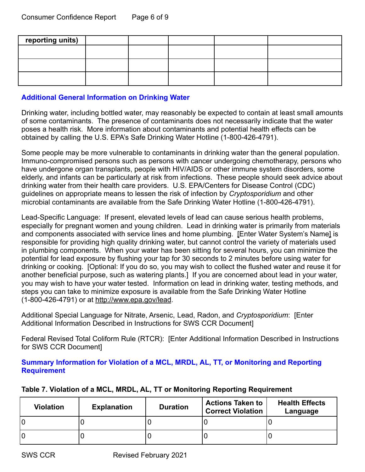| reporting units) |  |  |  |
|------------------|--|--|--|
|                  |  |  |  |
|                  |  |  |  |
|                  |  |  |  |

#### **Additional General Information on Drinking Water**

Drinking water, including bottled water, may reasonably be expected to contain at least small amounts of some contaminants. The presence of contaminants does not necessarily indicate that the water poses a health risk. More information about contaminants and potential health effects can be obtained by calling the U.S. EPA's Safe Drinking Water Hotline (1-800-426-4791).

Some people may be more vulnerable to contaminants in drinking water than the general population. Immuno-compromised persons such as persons with cancer undergoing chemotherapy, persons who have undergone organ transplants, people with HIV/AIDS or other immune system disorders, some elderly, and infants can be particularly at risk from infections. These people should seek advice about drinking water from their health care providers. U.S. EPA/Centers for Disease Control (CDC) guidelines on appropriate means to lessen the risk of infection by *Cryptosporidium* and other microbial contaminants are available from the Safe Drinking Water Hotline (1-800-426-4791).

Lead-Specific Language: If present, elevated levels of lead can cause serious health problems, especially for pregnant women and young children. Lead in drinking water is primarily from materials and components associated with service lines and home plumbing. [Enter Water System's Name] is responsible for providing high quality drinking water, but cannot control the variety of materials used in plumbing components. When your water has been sitting for several hours, you can minimize the potential for lead exposure by flushing your tap for 30 seconds to 2 minutes before using water for drinking or cooking. [Optional: If you do so, you may wish to collect the flushed water and reuse it for another beneficial purpose, such as watering plants.] If you are concerned about lead in your water, you may wish to have your water tested. Information on lead in drinking water, testing methods, and steps you can take to minimize exposure is available from the Safe Drinking Water Hotline (1-800-426-4791) or at <http://www.epa.gov/lead>.

Additional Special Language for Nitrate, Arsenic, Lead, Radon, and *Cryptosporidium*: [Enter Additional Information Described in Instructions for SWS CCR Document]

Federal Revised Total Coliform Rule (RTCR): [Enter Additional Information Described in Instructions for SWS CCR Document]

#### **Summary Information for Violation of a MCL, MRDL, AL, TT, or Monitoring and Reporting Requirement**

| <b>Violation</b> | <b>Explanation</b> | <b>Duration</b> | <b>Actions Taken to</b><br><b>Correct Violation</b> | <b>Health Effects</b><br>Language |
|------------------|--------------------|-----------------|-----------------------------------------------------|-----------------------------------|
|                  |                    |                 |                                                     |                                   |
| lO               |                    |                 |                                                     |                                   |

#### **Table 7. Violation of a MCL, MRDL, AL, TT or Monitoring Reporting Requirement**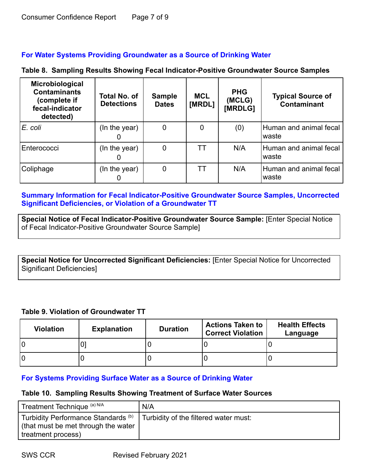#### **For Water Systems Providing Groundwater as a Source of Drinking Water**

|  |  |  |  | Table 8. Sampling Results Showing Fecal Indicator-Positive Groundwater Source Samples |  |  |
|--|--|--|--|---------------------------------------------------------------------------------------|--|--|
|--|--|--|--|---------------------------------------------------------------------------------------|--|--|

| Microbiological<br><b>Contaminants</b><br>(complete if<br>fecal-indicator<br>detected) | <b>Total No. of</b><br><b>Detections</b> | <b>Sample</b><br><b>Dates</b> | <b>MCL</b><br>[MRDL] | <b>PHG</b><br>(MCLG)<br>[MRDLG] | <b>Typical Source of</b><br><b>Contaminant</b> |
|----------------------------------------------------------------------------------------|------------------------------------------|-------------------------------|----------------------|---------------------------------|------------------------------------------------|
| IE. coli                                                                               | (In the year)                            | 0                             |                      | (0)                             | Human and animal fecal<br>waste                |
| Enterococci                                                                            | (In the year)                            | 0                             | ТT                   | N/A                             | Human and animal fecal<br>waste                |
| Coliphage                                                                              | (In the year)                            | 0                             | TТ                   | N/A                             | Human and animal fecal<br>waste                |

#### **Summary Information for Fecal Indicator-Positive Groundwater Source Samples, Uncorrected Significant Deficiencies, or Violation of a Groundwater TT**

**Special Notice of Fecal Indicator-Positive Groundwater Source Sample:** [Enter Special Notice of Fecal Indicator-Positive Groundwater Source Sample]

**Special Notice for Uncorrected Significant Deficiencies:** [Enter Special Notice for Uncorrected Significant Deficiencies]

#### **Table 9. Violation of Groundwater TT**

| <b>Violation</b> | <b>Explanation</b> | <b>Duration</b> | <b>Actions Taken to</b><br><b>Correct Violation</b> | <b>Health Effects</b><br>Language |
|------------------|--------------------|-----------------|-----------------------------------------------------|-----------------------------------|
|                  | ◡                  |                 |                                                     |                                   |
|                  |                    |                 |                                                     |                                   |

#### **For Systems Providing Surface Water as a Source of Drinking Water**

#### **Table 10. Sampling Results Showing Treatment of Surface Water Sources**

| Treatment Technique (a) N/A                                                                                  | N/A                                   |
|--------------------------------------------------------------------------------------------------------------|---------------------------------------|
| Turbidity Performance Standards <sup>(b)</sup><br>(that must be met through the water)<br>treatment process) | Turbidity of the filtered water must: |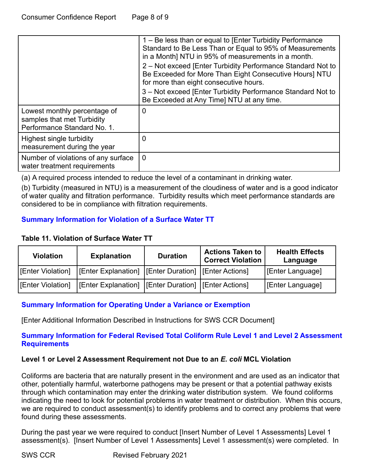|                                                                                           | 1 – Be less than or equal to [Enter Turbidity Performance<br>Standard to Be Less Than or Equal to 95% of Measurements<br>in a Month] NTU in 95% of measurements in a month.<br>2 – Not exceed [Enter Turbidity Performance Standard Not to<br>Be Exceeded for More Than Eight Consecutive Hours] NTU<br>for more than eight consecutive hours.<br>3 – Not exceed [Enter Turbidity Performance Standard Not to<br>Be Exceeded at Any Time] NTU at any time. |
|-------------------------------------------------------------------------------------------|------------------------------------------------------------------------------------------------------------------------------------------------------------------------------------------------------------------------------------------------------------------------------------------------------------------------------------------------------------------------------------------------------------------------------------------------------------|
| Lowest monthly percentage of<br>samples that met Turbidity<br>Performance Standard No. 1. | 0                                                                                                                                                                                                                                                                                                                                                                                                                                                          |
| Highest single turbidity<br>measurement during the year                                   | O                                                                                                                                                                                                                                                                                                                                                                                                                                                          |
| Number of violations of any surface<br>water treatment requirements                       | $\Omega$                                                                                                                                                                                                                                                                                                                                                                                                                                                   |

(a) A required process intended to reduce the level of a contaminant in drinking water.

(b) Turbidity (measured in NTU) is a measurement of the cloudiness of water and is a good indicator of water quality and filtration performance. Turbidity results which meet performance standards are considered to be in compliance with filtration requirements.

### **Summary Information for Violation of a Surface Water TT**

#### **Table 11. Violation of Surface Water TT**

| <b>Violation</b>  | <b>Explanation</b>                                                           | <b>Duration</b> | <b>Actions Taken to</b><br><b>Correct Violation</b> | <b>Health Effects</b><br>Language |
|-------------------|------------------------------------------------------------------------------|-----------------|-----------------------------------------------------|-----------------------------------|
|                   | [Enter Violation]   [Enter Explanation]   [Enter Duration]   [Enter Actions] |                 |                                                     | [Enter Language]                  |
| [Enter Violation] | [Enter Explanation] [Enter Duration] [Enter Actions]                         |                 |                                                     | [Enter Language]                  |

#### **Summary Information for Operating Under a Variance or Exemption**

[Enter Additional Information Described in Instructions for SWS CCR Document]

#### **Summary Information for Federal Revised Total Coliform Rule Level 1 and Level 2 Assessment Requirements**

#### **Level 1 or Level 2 Assessment Requirement not Due to an** *E. coli* **MCL Violation**

Coliforms are bacteria that are naturally present in the environment and are used as an indicator that other, potentially harmful, waterborne pathogens may be present or that a potential pathway exists through which contamination may enter the drinking water distribution system. We found coliforms indicating the need to look for potential problems in water treatment or distribution. When this occurs, we are required to conduct assessment(s) to identify problems and to correct any problems that were found during these assessments.

During the past year we were required to conduct [Insert Number of Level 1 Assessments] Level 1 assessment(s). [Insert Number of Level 1 Assessments] Level 1 assessment(s) were completed. In